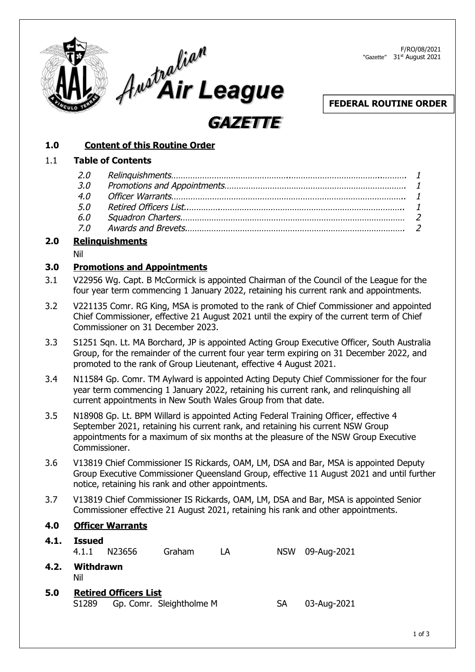



F/RO/08/2021 "Gazette" 31<sup>st</sup> August 2021

## **FEDERAL ROUTINE ORDER**

## **1.0 Content of this Routine Order**

#### 1.1 **Table of Contents**

| $\mathbf{r}$ , and the contract of the contract of the contract of the contract of the contract of the contract of the contract of the contract of the contract of the contract of the contract of the contract of the contract o |  |
|-----------------------------------------------------------------------------------------------------------------------------------------------------------------------------------------------------------------------------------|--|

**GAZETTE**

## **2.0 Relinquishments**

Nil

#### **3.0 Promotions and Appointments**

- 3.1 V22956 Wg. Capt. B McCormick is appointed Chairman of the Council of the League for the four year term commencing 1 January 2022, retaining his current rank and appointments.
- 3.2 V221135 Comr. RG King, MSA is promoted to the rank of Chief Commissioner and appointed Chief Commissioner, effective 21 August 2021 until the expiry of the current term of Chief Commissioner on 31 December 2023.
- 3.3 S1251 Sqn. Lt. MA Borchard, JP is appointed Acting Group Executive Officer, South Australia Group, for the remainder of the current four year term expiring on 31 December 2022, and promoted to the rank of Group Lieutenant, effective 4 August 2021.
- 3.4 N11584 Gp. Comr. TM Aylward is appointed Acting Deputy Chief Commissioner for the four year term commencing 1 January 2022, retaining his current rank, and relinquishing all current appointments in New South Wales Group from that date.
- 3.5 N18908 Gp. Lt. BPM Willard is appointed Acting Federal Training Officer, effective 4 September 2021, retaining his current rank, and retaining his current NSW Group appointments for a maximum of six months at the pleasure of the NSW Group Executive Commissioner.
- 3.6 V13819 Chief Commissioner IS Rickards, OAM, LM, DSA and Bar, MSA is appointed Deputy Group Executive Commissioner Queensland Group, effective 11 August 2021 and until further notice, retaining his rank and other appointments.
- 3.7 V13819 Chief Commissioner IS Rickards, OAM, LM, DSA and Bar, MSA is appointed Senior Commissioner effective 21 August 2021, retaining his rank and other appointments.

### **4.0 Officer Warrants**

| 4.1. | <b>Issued</b>     |                              |                          |    |            |             |
|------|-------------------|------------------------------|--------------------------|----|------------|-------------|
|      | 4.1.1             | N23656                       | Graham                   | LA | <b>NSW</b> | 09-Aug-2021 |
| 4.2. | Withdrawn<br>Nil  |                              |                          |    |            |             |
| 5.0  | S <sub>1289</sub> | <b>Retired Officers List</b> | Gp. Comr. Sleightholme M |    | SА         | 03-Aug-2021 |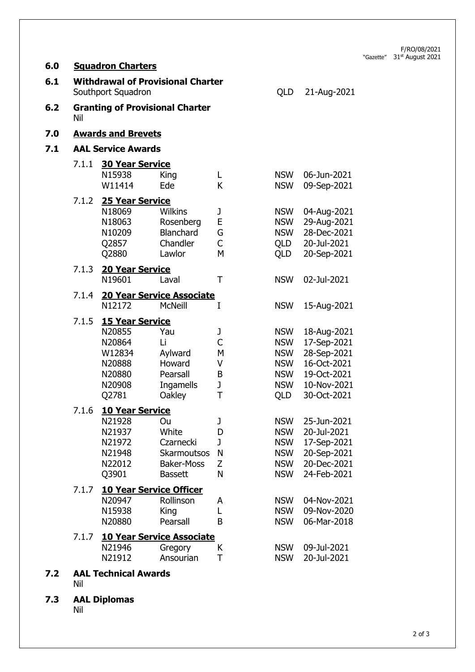F/RO/08/2021 "Gazette" 31<sup>st</sup> August 2021

| 6.0 |                           | <b>Squadron Charters</b>                                                                    |                                                                                       |                                 |                                                                                         |                                                                                                       |  |
|-----|---------------------------|---------------------------------------------------------------------------------------------|---------------------------------------------------------------------------------------|---------------------------------|-----------------------------------------------------------------------------------------|-------------------------------------------------------------------------------------------------------|--|
| 6.1 |                           | <b>Withdrawal of Provisional Charter</b><br>Southport Squadron                              |                                                                                       |                                 | QLD                                                                                     | 21-Aug-2021                                                                                           |  |
| 6.2 | Nil                       |                                                                                             | <b>Granting of Provisional Charter</b>                                                |                                 |                                                                                         |                                                                                                       |  |
| 7.0 |                           | <b>Awards and Brevets</b>                                                                   |                                                                                       |                                 |                                                                                         |                                                                                                       |  |
| 7.1 | <b>AAL Service Awards</b> |                                                                                             |                                                                                       |                                 |                                                                                         |                                                                                                       |  |
|     | 7.1.1                     | <b>30 Year Service</b><br>N15938<br>W11414                                                  | King<br>Ede                                                                           | L<br>K                          | <b>NSW</b><br><b>NSW</b>                                                                | 06-Jun-2021<br>09-Sep-2021                                                                            |  |
|     | 7.1.2                     | <b>25 Year Service</b><br>N18069<br>N18063<br>N10209<br>Q2857<br>Q2880                      | <b>Wilkins</b><br>Rosenberg<br><b>Blanchard</b><br>Chandler<br>Lawlor                 | J<br>E<br>G<br>C<br>М           | <b>NSW</b><br><b>NSW</b><br><b>NSW</b><br>QLD<br>QLD                                    | 04-Aug-2021<br>29-Aug-2021<br>28-Dec-2021<br>20-Jul-2021<br>20-Sep-2021                               |  |
|     | 7.1.3                     | <b>20 Year Service</b><br>N19601                                                            | Laval                                                                                 | Τ                               | <b>NSW</b>                                                                              | 02-Jul-2021                                                                                           |  |
|     | 7.1.4                     | N12172                                                                                      | <b>20 Year Service Associate</b><br><b>McNeill</b>                                    | I                               | <b>NSW</b>                                                                              | 15-Aug-2021                                                                                           |  |
|     | 7.1.5                     | <b>15 Year Service</b><br>N20855<br>N20864<br>W12834<br>N20888<br>N20880<br>N20908<br>Q2781 | Yau<br>Li<br>Aylward<br>Howard<br>Pearsall<br>Ingamells<br>Oakley                     | J<br>C<br>М<br>V<br>B<br>J<br>T | <b>NSW</b><br><b>NSW</b><br><b>NSW</b><br><b>NSW</b><br><b>NSW</b><br><b>NSW</b><br>QLD | 18-Aug-2021<br>17-Sep-2021<br>28-Sep-2021<br>16-Oct-2021<br>19-Oct-2021<br>10-Nov-2021<br>30-Oct-2021 |  |
|     | 7.1.6                     | <b>10 Year Service</b><br>N21928<br>N21937<br>N21972<br>N21948<br>N22012<br>Q3901           | Ou<br>White<br>Czarnecki<br><b>Skarmoutsos</b><br><b>Baker-Moss</b><br><b>Bassett</b> | J<br>D<br>J<br>N<br>Z<br>N      | <b>NSW</b><br><b>NSW</b><br><b>NSW</b><br><b>NSW</b><br><b>NSW</b><br><b>NSW</b>        | 25-Jun-2021<br>20-Jul-2021<br>17-Sep-2021<br>20-Sep-2021<br>20-Dec-2021<br>24-Feb-2021                |  |
|     | 7.1.7                     | N20947<br>N15938<br>N20880                                                                  | <b>10 Year Service Officer</b><br>Rollinson<br>King<br>Pearsall                       | A<br>L<br>B                     | <b>NSW</b><br><b>NSW</b><br><b>NSW</b>                                                  | 04-Nov-2021<br>09-Nov-2020<br>06-Mar-2018                                                             |  |
|     | 7.1.7                     | N21946<br>N21912                                                                            | <b>10 Year Service Associate</b><br>Gregory<br>Ansourian                              | K<br>T                          | <b>NSW</b><br><b>NSW</b>                                                                | 09-Jul-2021<br>20-Jul-2021                                                                            |  |
| 7.2 | Nil                       | <b>AAL Technical Awards</b>                                                                 |                                                                                       |                                 |                                                                                         |                                                                                                       |  |
| 7.3 |                           | <b>AAL Diplomas</b>                                                                         |                                                                                       |                                 |                                                                                         |                                                                                                       |  |

Nil